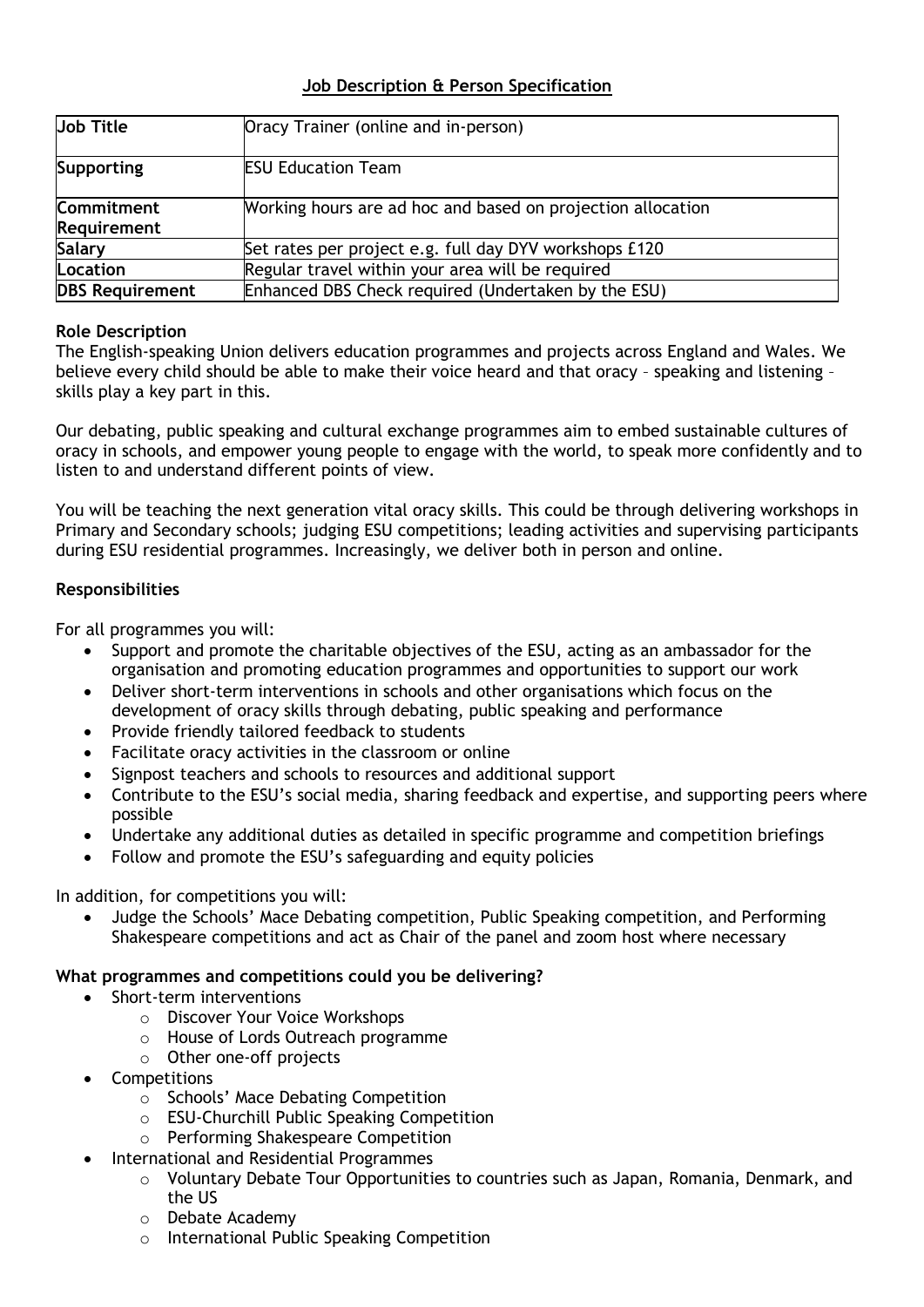## **Job Description & Person Specification**

| Job Title                               | Oracy Trainer (online and in-person)                        |
|-----------------------------------------|-------------------------------------------------------------|
| Supporting                              | <b>ESU Education Team</b>                                   |
| <b>Commitment</b><br><b>Requirement</b> | Working hours are ad hoc and based on projection allocation |
| Salary                                  | Set rates per project e.g. full day DYV workshops £120      |
| Location                                | Regular travel within your area will be required            |
| <b>DBS Requirement</b>                  | Enhanced DBS Check required (Undertaken by the ESU)         |

### **Role Description**

The English-speaking Union delivers education programmes and projects across England and Wales. We believe every child should be able to make their voice heard and that oracy – speaking and listening – skills play a key part in this.

Our debating, public speaking and cultural exchange programmes aim to embed sustainable cultures of oracy in schools, and empower young people to engage with the world, to speak more confidently and to listen to and understand different points of view.

You will be teaching the next generation vital oracy skills. This could be through delivering workshops in Primary and Secondary schools; judging ESU competitions; leading activities and supervising participants during ESU residential programmes. Increasingly, we deliver both in person and online.

### **Responsibilities**

For all programmes you will:

- Support and promote the charitable objectives of the ESU, acting as an ambassador for the organisation and promoting education programmes and opportunities to support our work
- Deliver short-term interventions in schools and other organisations which focus on the development of oracy skills through debating, public speaking and performance
- Provide friendly tailored feedback to students
- Facilitate oracy activities in the classroom or online
- Signpost teachers and schools to resources and additional support
- Contribute to the ESU's social media, sharing feedback and expertise, and supporting peers where possible
- Undertake any additional duties as detailed in specific programme and competition briefings
- Follow and promote the ESU's safeguarding and equity policies

In addition, for competitions you will:

• Judge the Schools' Mace Debating competition, Public Speaking competition, and Performing Shakespeare competitions and act as Chair of the panel and zoom host where necessary

#### **What programmes and competitions could you be delivering?**

- Short-term interventions
	- o Discover Your Voice Workshops
	- o House of Lords Outreach programme
	- o Other one-off projects
- Competitions
	- o Schools' Mace Debating Competition
	- o ESU-Churchill Public Speaking Competition
	- o Performing Shakespeare Competition
- International and Residential Programmes
	- o Voluntary Debate Tour Opportunities to countries such as Japan, Romania, Denmark, and the US
	- o Debate Academy
	- o International Public Speaking Competition